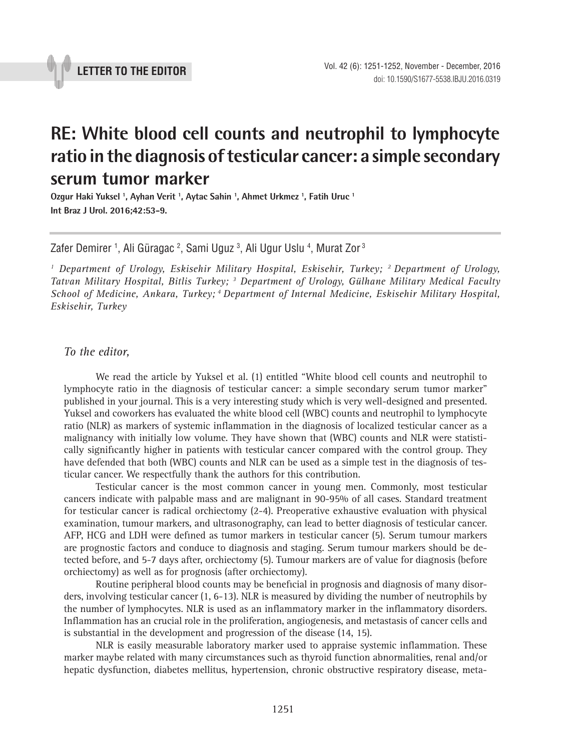

## **RE: White blood cell counts and neutrophil to lymphocyte ratio in the diagnosis of testicular cancer: a simple secondary serum tumor marker**

**Ozgur Haki Yuksel 1 , Ayhan Verit 1 , Aytac Sahin 1 , Ahmet Urkmez 1 , Fatih Uruc 1 Int Braz J Urol. 2016;42:53-9.**

Zafer Demirer <sup>1</sup>, Ali Güragac <sup>2</sup>, Sami Uguz <sup>3</sup>, Ali Ugur Uslu <sup>4</sup>, Murat Zor <sup>3</sup>

<sup>1</sup> Department of Urology, Eskisehir Military Hospital, Eskisehir, Turkey; <sup>2</sup> Department of Urology, *Tatvan Military Hospital, Bitlis Turkey; 3 Department of Urology, Gülhane Military Medical Faculty School of Medicine, Ankara, Turkey; 4 Department of Internal Medicine, Eskisehir Military Hospital, Eskisehir, Turkey*

**\_\_\_\_\_\_\_\_\_\_\_\_\_\_\_\_\_\_\_\_\_\_\_\_\_\_\_\_\_\_\_\_\_\_\_\_\_\_\_\_\_\_\_\_\_\_\_**

*To the editor,*

We read the article by Yuksel et al. (1) entitled "White blood cell counts and neutrophil to lymphocyte ratio in the diagnosis of testicular cancer: a simple secondary serum tumor marker" published in your journal. This is a very interesting study which is very well-designed and presented. Yuksel and coworkers has evaluated the white blood cell (WBC) counts and neutrophil to lymphocyte ratio (NLR) as markers of systemic inflammation in the diagnosis of localized testicular cancer as a malignancy with initially low volume. They have shown that (WBC) counts and NLR were statistically significantly higher in patients with testicular cancer compared with the control group. They have defended that both (WBC) counts and NLR can be used as a simple test in the diagnosis of testicular cancer. We respectfully thank the authors for this contribution.

Testicular cancer is the most common cancer in young men. Commonly, most testicular cancers indicate with palpable mass and are malignant in 90-95% of all cases. Standard treatment for testicular cancer is radical orchiectomy (2-4). Preoperative exhaustive evaluation with physical examination, tumour markers, and ultrasonography, can lead to better diagnosis of testicular cancer. AFP, HCG and LDH were defined as tumor markers in testicular cancer (5). Serum tumour markers are prognostic factors and conduce to diagnosis and staging. Serum tumour markers should be detected before, and 5-7 days after, orchiectomy (5). Tumour markers are of value for diagnosis (before orchiectomy) as well as for prognosis (after orchiectomy).

Routine peripheral blood counts may be beneficial in prognosis and diagnosis of many disorders, involving testicular cancer (1, 6-13). NLR is measured by dividing the number of neutrophils by the number of lymphocytes. NLR is used as an inflammatory marker in the inflammatory disorders. Inflammation has an crucial role in the proliferation, angiogenesis, and metastasis of cancer cells and is substantial in the development and progression of the disease (14, 15).

NLR is easily measurable laboratory marker used to appraise systemic inflammation. These marker maybe related with many circumstances such as thyroid function abnormalities, renal and/or hepatic dysfunction, diabetes mellitus, hypertension, chronic obstructive respiratory disease, meta